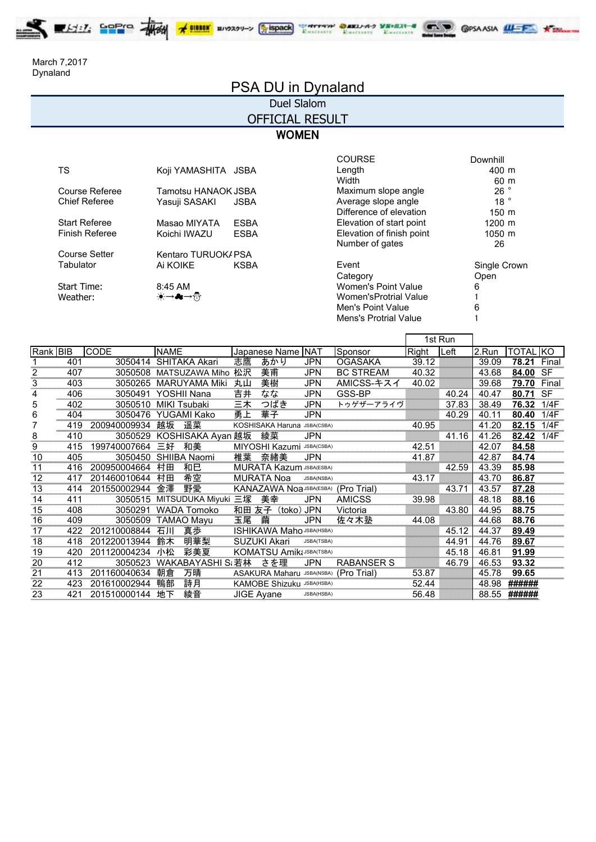ELILL SPPID THE X BILLIN BIOXYU-> SBOOK WITHIN DARLING STATIS COSAASIA ILLES X DEL

Dynaland March 7,2017

# PSA DU in Dynaland

## Duel Slalom

OFFICIAL RESULT

### **WOMEN**

| TS                    | Koji YAMASHITA JSBA |             | Length                    | 400 m           |
|-----------------------|---------------------|-------------|---------------------------|-----------------|
|                       |                     |             | Width                     | 60 m            |
| Course Referee        | Tamotsu HANAOK JSBA |             | Maximum slope angle       | 26°             |
| <b>Chief Referee</b>  | Yasuji SASAKI       | <b>JSBA</b> | Average slope angle       | 18 <sup>°</sup> |
|                       |                     |             | Difference of elevation   | $150 \text{ m}$ |
| <b>Start Referee</b>  | Masao MIYATA        | <b>ESBA</b> | Elevation of start point  | 1200 m          |
| <b>Finish Referee</b> | Koichi IWAZU        | <b>ESBA</b> | Elevation of finish point | 1050 m          |
|                       |                     |             | Number of gates           | 26              |
| <b>Course Setter</b>  | Kentaro TURUOK/ PSA |             |                           |                 |
| Tabulator             | Ai KOIKE            | <b>KSBA</b> | Event                     | Single Cro      |
|                       |                     |             | Category                  | Open            |
| Start Time:           | 8:45 AM             |             | Women's Point Value       | 6               |
| Weather:              | ☀→♣→∰               |             | Women'sProtrial Value     |                 |
|                       |                     |             | Men's Point Value         | 6               |
|                       |                     |             | Mens's Protrial Value     |                 |

|                     |             | <b>COURSE</b>                | Downhill            |
|---------------------|-------------|------------------------------|---------------------|
| Koji YAMASHITA JSBA |             | Length                       | 400 m               |
|                     |             | Width                        | 60 m                |
| Tamotsu HANAOK JSBA |             | Maximum slope angle          | 26°                 |
| Yasuji SASAKI       | <b>JSBA</b> | Average slope angle          | 18 <sup>°</sup>     |
|                     |             | Difference of elevation      | $150 \; \mathrm{m}$ |
| Masao MIYATA        | <b>ESBA</b> | Elevation of start point     | 1200 m              |
| Koichi IWAZU        | <b>ESBA</b> | Elevation of finish point    | 1050 m              |
|                     |             | Number of gates              | 26                  |
| Kentaro TURUOK/ PSA |             |                              |                     |
| Ai KOIKE            | <b>KSBA</b> | Event                        | Single Crown        |
|                     |             | Category                     | Open                |
| 8:45 AM             |             | Women's Point Value          | 6                   |
| ☀→♣→₩               |             | Women'sProtrial Value        |                     |
|                     |             | Men's Point Value            | 6                   |
|                     |             | <b>Mens's Protrial Value</b> |                     |
|                     |             |                              |                     |

|                         |     |              |             |                      |                   |                                  |            |                                       |       | 1st Run |       |                 |           |
|-------------------------|-----|--------------|-------------|----------------------|-------------------|----------------------------------|------------|---------------------------------------|-------|---------|-------|-----------------|-----------|
| Rank BIB                |     | <b>CODE</b>  | <b>NAME</b> |                      |                   | Japanese Name NAT                |            | Sponsor                               | Right | Left    | 2.Run | <b>TOTAL KO</b> |           |
|                         | 401 | 3050414      |             | SHITAKA Akari        | 志鷹                | あかり                              | <b>JPN</b> | <b>OGASAKA</b>                        | 39.12 |         | 39.09 | 78.21           | Final     |
| $\overline{\mathbf{c}}$ | 407 | 3050508      |             | MATSUZAWA Miho       | 松沢                | 美甫                               | <b>JPN</b> | <b>BC STREAM</b>                      | 40.32 |         | 43.68 | 84.00           | <b>SF</b> |
| 3                       | 403 | 3050265      |             | <b>MARUYAMA Miki</b> | 丸山                | 美樹                               | <b>JPN</b> | AMICSS-キスイ                            | 40.02 |         | 39.68 | 79.70           | Final     |
| 4                       | 406 | 3050491      |             | YOSHII Nana          | 吉井                | なな                               | JPN        | GSS-BP                                |       | 40.24   | 40.47 | 80.71           | <b>SF</b> |
| 5                       | 402 | 3050510      |             | <b>MIKI Tsubaki</b>  | 三木                | つばき                              | JPN        | トゥゲザーアライヴ                             |       | 37.83   | 38.49 | 76.32           | 1/4F      |
| 6                       | 404 | 3050476      |             | YUGAMI Kako          | 勇上                | 華子                               | <b>JPN</b> |                                       |       | 40.29   | 40.11 | 80.40           | 1/4F      |
|                         | 419 | 200940009934 | 越坂          | 遥菜                   |                   | KOSHISAKA Haruna                 | JSBA(CSBA) |                                       | 40.95 |         | 41.20 | 82.15           | 1/4F      |
| 8                       | 410 | 3050529      |             | KOSHISAKA Ayan 越坂    |                   | 綾菜                               | <b>JPN</b> |                                       |       | 41.16   | 41.26 | 82.42           | 1/4F      |
| 9                       | 415 | 199740007664 | 三好          | 和美                   |                   | MIYOSHI Kazumi JSBA(CSBA)        |            |                                       | 42.51 |         | 42.07 | 84.58           |           |
| 10                      | 405 | 3050450      |             | SHIIBA Naomi         | 椎葉                | 奈緒美                              | <b>JPN</b> |                                       | 41.87 |         | 42.87 | 84.74           |           |
| 11                      | 416 | 200950004664 | 村田          | 和巳                   |                   | <b>MURATA Kazum JSBA(ESBA)</b>   |            |                                       |       | 42.59   | 43.39 | 85.98           |           |
| 12                      | 417 | 201460010644 | 村田          | 希空                   |                   | <b>MURATA Noa</b>                | JSBA(NSBA) |                                       | 43.17 |         | 43.70 | 86.87           |           |
| 13                      | 414 | 201550002944 | 金澤          | 野愛                   |                   | <b>KANAZAWA NOa JSBA(ESBA)</b>   |            | (Pro Trial)                           |       | 43.71   | 43.57 | 87.28           |           |
| 14                      | 411 | 3050515      |             | MITSUDUKA Miyuki 三塚  |                   | 美幸                               | <b>JPN</b> | <b>AMICSS</b>                         | 39.98 |         | 48.18 | 88.16           |           |
| 15                      | 408 | 3050291      |             | <b>WADA Tomoko</b>   | 和田 友子             | (toko)                           | <b>JPN</b> | Victoria                              |       | 43.80   | 44.95 | 88.75           |           |
| 16                      | 409 | 3050509      |             | <b>TAMAO Mayu</b>    | 玉尾                | 繭                                | JPN        | 佐々木塾                                  | 44.08 |         | 44.68 | 88.76           |           |
| 17                      | 422 | 201210008844 | 石川          | 真歩                   |                   | <b>ISHIKAWA Maho JSBA(HSBA)</b>  |            |                                       |       | 45.12   | 44.37 | 89.49           |           |
| 18                      | 418 | 201220013944 | 鈴木          | 明華梨                  |                   | <b>SUZUKI Akari</b>              | JSBA(TSBA) |                                       |       | 44.91   | 44.76 | 89.67           |           |
| 19                      | 420 | 201120004234 | 小松          | 彩美夏                  |                   | <b>KOMATSU Amik</b> (JSBA(TSBA)  |            |                                       |       | 45.18   | 46.81 | 91.99           |           |
| 20                      | 412 | 3050523      |             | WAKABAYASHI S; 若林    |                   | さを理                              | <b>JPN</b> | <b>RABANSER S</b>                     |       | 46.79   | 46.53 | 93.32           |           |
| 21                      | 413 | 201160040634 | 朝倉          | 万晴                   |                   |                                  |            | ASAKURA Maharu JSBA(NSBA) (Pro Trial) | 53.87 |         | 45.78 | 99.65           |           |
| 22                      | 423 | 201610002944 | 鴨部          | 詩月                   |                   | <b>KAMOBE Shizuku JSBA(HSBA)</b> |            |                                       | 52.44 |         | 48.98 | ######          |           |
| 23                      | 421 | 201510000144 | 地下          | 綾音                   | <b>JIGE Avane</b> |                                  | JSBA(HSBA) |                                       | 56.48 |         | 88.55 | ######          |           |